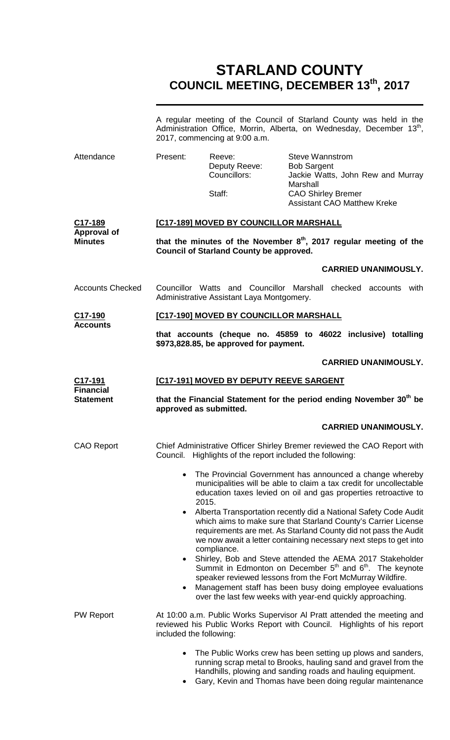# **STARLAND COUNTY COUNCIL MEETING, DECEMBER 13th, 2017**

|                                      | A regular meeting of the Council of Starland County was held in the<br>Administration Office, Morrin, Alberta, on Wednesday, December 13 <sup>th</sup> ,<br>2017, commencing at 9:00 a.m.                                                                                                                                      |                                                  |                                                                                                                                                                                                |  |
|--------------------------------------|--------------------------------------------------------------------------------------------------------------------------------------------------------------------------------------------------------------------------------------------------------------------------------------------------------------------------------|--------------------------------------------------|------------------------------------------------------------------------------------------------------------------------------------------------------------------------------------------------|--|
| Attendance                           | Present:                                                                                                                                                                                                                                                                                                                       | Reeve:<br>Deputy Reeve:<br>Councillors:          | <b>Steve Wannstrom</b><br><b>Bob Sargent</b><br>Jackie Watts, John Rew and Murray                                                                                                              |  |
|                                      |                                                                                                                                                                                                                                                                                                                                | Staff:                                           | Marshall<br><b>CAO Shirley Bremer</b><br><b>Assistant CAO Matthew Kreke</b>                                                                                                                    |  |
| C17-189<br><b>Approval of</b>        | [C17-189] MOVED BY COUNCILLOR MARSHALL                                                                                                                                                                                                                                                                                         |                                                  |                                                                                                                                                                                                |  |
| <b>Minutes</b>                       |                                                                                                                                                                                                                                                                                                                                | <b>Council of Starland County be approved.</b>   | that the minutes of the November $8th$ , 2017 regular meeting of the                                                                                                                           |  |
|                                      |                                                                                                                                                                                                                                                                                                                                |                                                  | <b>CARRIED UNANIMOUSLY.</b>                                                                                                                                                                    |  |
| <b>Accounts Checked</b>              |                                                                                                                                                                                                                                                                                                                                | Administrative Assistant Laya Montgomery.        | Councillor Watts and Councillor Marshall checked accounts with                                                                                                                                 |  |
| C17-190<br><b>Accounts</b>           |                                                                                                                                                                                                                                                                                                                                | [C17-190] MOVED BY COUNCILLOR MARSHALL           |                                                                                                                                                                                                |  |
|                                      |                                                                                                                                                                                                                                                                                                                                | \$973,828.85, be approved for payment.           | that accounts (cheque no. 45859 to 46022 inclusive) totalling                                                                                                                                  |  |
|                                      |                                                                                                                                                                                                                                                                                                                                |                                                  | <b>CARRIED UNANIMOUSLY.</b>                                                                                                                                                                    |  |
| C17-191<br><b>Financial</b>          | [C17-191] MOVED BY DEPUTY REEVE SARGENT                                                                                                                                                                                                                                                                                        |                                                  |                                                                                                                                                                                                |  |
| <b>Statement</b>                     | approved as submitted.                                                                                                                                                                                                                                                                                                         |                                                  | that the Financial Statement for the period ending November 30 <sup>th</sup> be                                                                                                                |  |
|                                      |                                                                                                                                                                                                                                                                                                                                |                                                  | <b>CARRIED UNANIMOUSLY.</b>                                                                                                                                                                    |  |
| <b>CAO Report</b>                    | Council.                                                                                                                                                                                                                                                                                                                       | Highlights of the report included the following: | Chief Administrative Officer Shirley Bremer reviewed the CAO Report with                                                                                                                       |  |
|                                      | The Provincial Government has announced a change whereby<br>$\bullet$<br>municipalities will be able to claim a tax credit for uncollectable<br>education taxes levied on oil and gas properties retroactive to<br>2015.                                                                                                       |                                                  |                                                                                                                                                                                                |  |
|                                      | Alberta Transportation recently did a National Safety Code Audit<br>which aims to make sure that Starland County's Carrier License<br>requirements are met. As Starland County did not pass the Audit<br>we now await a letter containing necessary next steps to get into<br>compliance.                                      |                                                  |                                                                                                                                                                                                |  |
|                                      | Shirley, Bob and Steve attended the AEMA 2017 Stakeholder<br>$\bullet$<br>Summit in Edmonton on December $5th$ and $6th$ . The keynote<br>speaker reviewed lessons from the Fort McMurray Wildfire.<br>Management staff has been busy doing employee evaluations<br>over the last few weeks with year-end quickly approaching. |                                                  |                                                                                                                                                                                                |  |
| PW Report<br>included the following: |                                                                                                                                                                                                                                                                                                                                |                                                  | At 10:00 a.m. Public Works Supervisor AI Pratt attended the meeting and<br>reviewed his Public Works Report with Council. Highlights of his report                                             |  |
|                                      |                                                                                                                                                                                                                                                                                                                                |                                                  | The Public Works crew has been setting up plows and sanders,<br>running scrap metal to Brooks, hauling sand and gravel from the<br>Handhills, plowing and sanding roads and hauling equipment. |  |

• Gary, Kevin and Thomas have been doing regular maintenance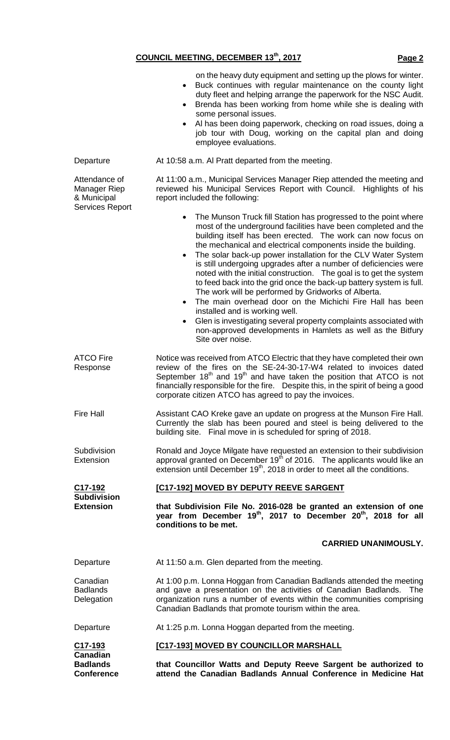|                                                                        | on the heavy duty equipment and setting up the plows for winter.<br>Buck continues with regular maintenance on the county light<br>٠<br>duty fleet and helping arrange the paperwork for the NSC Audit.<br>Brenda has been working from home while she is dealing with<br>$\bullet$<br>some personal issues.<br>Al has been doing paperwork, checking on road issues, doing a<br>job tour with Doug, working on the capital plan and doing<br>employee evaluations.                                                                                                                                                                                                                                                                                                                                                                                                                                                   |  |  |
|------------------------------------------------------------------------|-----------------------------------------------------------------------------------------------------------------------------------------------------------------------------------------------------------------------------------------------------------------------------------------------------------------------------------------------------------------------------------------------------------------------------------------------------------------------------------------------------------------------------------------------------------------------------------------------------------------------------------------------------------------------------------------------------------------------------------------------------------------------------------------------------------------------------------------------------------------------------------------------------------------------|--|--|
| Departure                                                              | At 10:58 a.m. Al Pratt departed from the meeting.                                                                                                                                                                                                                                                                                                                                                                                                                                                                                                                                                                                                                                                                                                                                                                                                                                                                     |  |  |
| Attendance of<br>Manager Riep<br>& Municipal<br><b>Services Report</b> | At 11:00 a.m., Municipal Services Manager Riep attended the meeting and<br>reviewed his Municipal Services Report with Council. Highlights of his<br>report included the following:                                                                                                                                                                                                                                                                                                                                                                                                                                                                                                                                                                                                                                                                                                                                   |  |  |
|                                                                        | The Munson Truck fill Station has progressed to the point where<br>$\bullet$<br>most of the underground facilities have been completed and the<br>building itself has been erected. The work can now focus on<br>the mechanical and electrical components inside the building.<br>The solar back-up power installation for the CLV Water System<br>$\bullet$<br>is still undergoing upgrades after a number of deficiencies were<br>noted with the initial construction. The goal is to get the system<br>to feed back into the grid once the back-up battery system is full.<br>The work will be performed by Gridworks of Alberta.<br>The main overhead door on the Michichi Fire Hall has been<br>$\bullet$<br>installed and is working well.<br>Glen is investigating several property complaints associated with<br>$\bullet$<br>non-approved developments in Hamlets as well as the Bitfury<br>Site over noise. |  |  |
| <b>ATCO Fire</b><br>Response                                           | Notice was received from ATCO Electric that they have completed their own<br>review of the fires on the SE-24-30-17-W4 related to invoices dated<br>September $18th$ and $19th$ and have taken the position that ATCO is not<br>financially responsible for the fire. Despite this, in the spirit of being a good<br>corporate citizen ATCO has agreed to pay the invoices.                                                                                                                                                                                                                                                                                                                                                                                                                                                                                                                                           |  |  |
| <b>Fire Hall</b>                                                       | Assistant CAO Kreke gave an update on progress at the Munson Fire Hall.<br>Currently the slab has been poured and steel is being delivered to the<br>building site. Final move in is scheduled for spring of 2018.                                                                                                                                                                                                                                                                                                                                                                                                                                                                                                                                                                                                                                                                                                    |  |  |
| Subdivision<br>Extension                                               | Ronald and Joyce Milgate have requested an extension to their subdivision<br>approval granted on December 19 <sup>th</sup> of 2016. The applicants would like an<br>extension until December 19 <sup>th</sup> , 2018 in order to meet all the conditions.                                                                                                                                                                                                                                                                                                                                                                                                                                                                                                                                                                                                                                                             |  |  |
| C17-192                                                                | [C17-192] MOVED BY DEPUTY REEVE SARGENT                                                                                                                                                                                                                                                                                                                                                                                                                                                                                                                                                                                                                                                                                                                                                                                                                                                                               |  |  |
| <b>Subdivision</b><br><b>Extension</b>                                 | that Subdivision File No. 2016-028 be granted an extension of one<br>year from December 19 <sup>th</sup> , 2017 to December 20 <sup>th</sup> , 2018 for all<br>conditions to be met.                                                                                                                                                                                                                                                                                                                                                                                                                                                                                                                                                                                                                                                                                                                                  |  |  |
|                                                                        | <b>CARRIED UNANIMOUSLY.</b>                                                                                                                                                                                                                                                                                                                                                                                                                                                                                                                                                                                                                                                                                                                                                                                                                                                                                           |  |  |
| Departure                                                              | At 11:50 a.m. Glen departed from the meeting.                                                                                                                                                                                                                                                                                                                                                                                                                                                                                                                                                                                                                                                                                                                                                                                                                                                                         |  |  |
| Canadian<br><b>Badlands</b><br>Delegation                              | At 1:00 p.m. Lonna Hoggan from Canadian Badlands attended the meeting<br>and gave a presentation on the activities of Canadian Badlands.<br>The<br>organization runs a number of events within the communities comprising<br>Canadian Badlands that promote tourism within the area.                                                                                                                                                                                                                                                                                                                                                                                                                                                                                                                                                                                                                                  |  |  |
| Departure                                                              | At 1:25 p.m. Lonna Hoggan departed from the meeting.                                                                                                                                                                                                                                                                                                                                                                                                                                                                                                                                                                                                                                                                                                                                                                                                                                                                  |  |  |
| C17-193                                                                | [C17-193] MOVED BY COUNCILLOR MARSHALL                                                                                                                                                                                                                                                                                                                                                                                                                                                                                                                                                                                                                                                                                                                                                                                                                                                                                |  |  |
| <b>Canadian</b><br><b>Badlands</b><br><b>Conference</b>                | that Councillor Watts and Deputy Reeve Sargent be authorized to<br>attend the Canadian Badlands Annual Conference in Medicine Hat                                                                                                                                                                                                                                                                                                                                                                                                                                                                                                                                                                                                                                                                                                                                                                                     |  |  |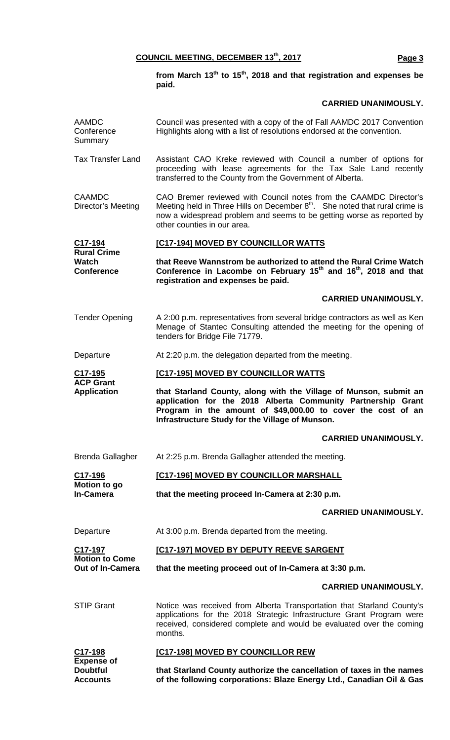**from March 13th to 15th, 2018 and that registration and expenses be paid.**

## **CARRIED UNANIMOUSLY.**

| <b>AAMDC</b><br>Conference<br>Summary                   | Council was presented with a copy of the of Fall AAMDC 2017 Convention<br>Highlights along with a list of resolutions endorsed at the convention.                                                                                                                    |  |  |
|---------------------------------------------------------|----------------------------------------------------------------------------------------------------------------------------------------------------------------------------------------------------------------------------------------------------------------------|--|--|
| <b>Tax Transfer Land</b>                                | Assistant CAO Kreke reviewed with Council a number of options for<br>proceeding with lease agreements for the Tax Sale Land recently<br>transferred to the County from the Government of Alberta.                                                                    |  |  |
| <b>CAAMDC</b><br>Director's Meeting                     | CAO Bremer reviewed with Council notes from the CAAMDC Director's<br>Meeting held in Three Hills on December 8 <sup>th</sup> . She noted that rural crime is<br>now a widespread problem and seems to be getting worse as reported by<br>other counties in our area. |  |  |
| C17-194                                                 | [C17-194] MOVED BY COUNCILLOR WATTS                                                                                                                                                                                                                                  |  |  |
| <b>Rural Crime</b><br><b>Watch</b><br><b>Conference</b> | that Reeve Wannstrom be authorized to attend the Rural Crime Watch<br>Conference in Lacombe on February 15 <sup>th</sup> and 16 <sup>th</sup> , 2018 and that<br>registration and expenses be paid.                                                                  |  |  |
|                                                         | <b>CARRIED UNANIMOUSLY.</b>                                                                                                                                                                                                                                          |  |  |
| <b>Tender Opening</b>                                   | A 2:00 p.m. representatives from several bridge contractors as well as Ken<br>Menage of Stantec Consulting attended the meeting for the opening of<br>tenders for Bridge File 71779.                                                                                 |  |  |
| Departure                                               | At 2:20 p.m. the delegation departed from the meeting.                                                                                                                                                                                                               |  |  |
| C <sub>17</sub> -195                                    | [C17-195] MOVED BY COUNCILLOR WATTS                                                                                                                                                                                                                                  |  |  |
| <b>ACP Grant</b><br><b>Application</b>                  | that Starland County, along with the Village of Munson, submit an<br>application for the 2018 Alberta Community Partnership Grant<br>Program in the amount of \$49,000.00 to cover the cost of an<br>Infrastructure Study for the Village of Munson.                 |  |  |
|                                                         | <b>CARRIED UNANIMOUSLY.</b>                                                                                                                                                                                                                                          |  |  |
| Brenda Gallagher                                        | At 2:25 p.m. Brenda Gallagher attended the meeting.                                                                                                                                                                                                                  |  |  |
| C17-196                                                 | [C17-196] MOVED BY COUNCILLOR MARSHALL                                                                                                                                                                                                                               |  |  |
| Motion to go<br><b>In-Camera</b>                        | that the meeting proceed In-Camera at 2:30 p.m.                                                                                                                                                                                                                      |  |  |
|                                                         | <b>CARRIED UNANIMOUSLY.</b>                                                                                                                                                                                                                                          |  |  |
| Departure                                               | At 3:00 p.m. Brenda departed from the meeting.                                                                                                                                                                                                                       |  |  |
| C <sub>17-197</sub>                                     | [C17-197] MOVED BY DEPUTY REEVE SARGENT                                                                                                                                                                                                                              |  |  |
| <b>Motion to Come</b><br><b>Out of In-Camera</b>        | that the meeting proceed out of In-Camera at 3:30 p.m.                                                                                                                                                                                                               |  |  |
|                                                         | <b>CARRIED UNANIMOUSLY.</b>                                                                                                                                                                                                                                          |  |  |
| <b>STIP Grant</b>                                       | Notice was received from Alberta Transportation that Starland County's<br>applications for the 2018 Strategic Infrastructure Grant Program were<br>received, considered complete and would be evaluated over the coming<br>months.                                   |  |  |
| C17-198                                                 | [C17-198] MOVED BY COUNCILLOR REW                                                                                                                                                                                                                                    |  |  |
| <b>Expense of</b><br><b>Doubtful</b><br><b>Accounts</b> | that Starland County authorize the cancellation of taxes in the names<br>of the following corporations: Blaze Energy Ltd., Canadian Oil & Gas                                                                                                                        |  |  |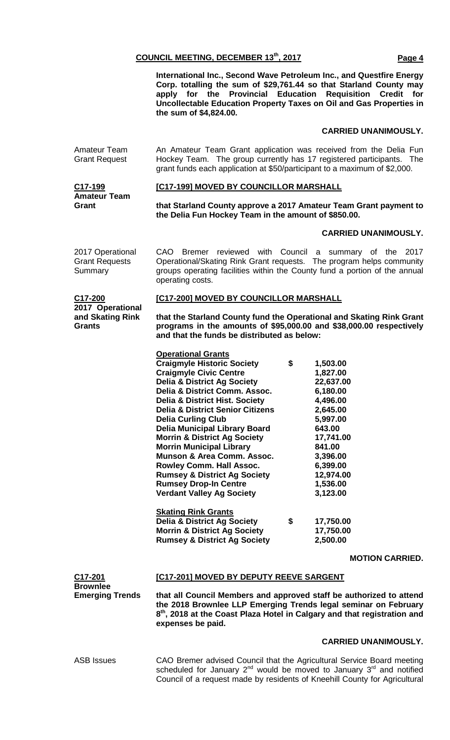**International Inc., Second Wave Petroleum Inc., and Questfire Energy Corp. totalling the sum of \$29,761.44 so that Starland County may apply for the Provincial Education Requisition Credit for Uncollectable Education Property Taxes on Oil and Gas Properties in the sum of \$4,824.00.**

### **CARRIED UNANIMOUSLY.**

Amateur Team Grant Request An Amateur Team Grant application was received from the Delia Fun Hockey Team. The group currently has 17 registered participants. The grant funds each application at \$50/participant to a maximum of \$2,000.

#### **[C17-199] MOVED BY COUNCILLOR MARSHALL**

**C17-199 Amateur Team Grant** 

### **that Starland County approve a 2017 Amateur Team Grant payment to the Delia Fun Hockey Team in the amount of \$850.00.**

#### **CARRIED UNANIMOUSLY.**

| 2017 Operational<br><b>Grant Requests</b><br>Summary      | CAO Bremer reviewed with Council a summary of the 2017<br>Operational/Skating Rink Grant requests. The program helps community<br>groups operating facilities within the County fund a portion of the annual<br>operating costs.                                                                                                                                                                                                                                                                                                                                                                                                 |    |                                                                                                                                                                                 |                        |  |
|-----------------------------------------------------------|----------------------------------------------------------------------------------------------------------------------------------------------------------------------------------------------------------------------------------------------------------------------------------------------------------------------------------------------------------------------------------------------------------------------------------------------------------------------------------------------------------------------------------------------------------------------------------------------------------------------------------|----|---------------------------------------------------------------------------------------------------------------------------------------------------------------------------------|------------------------|--|
| C17-200<br>2017 Operational<br>and Skating Rink<br>Grants | [C17-200] MOVED BY COUNCILLOR MARSHALL                                                                                                                                                                                                                                                                                                                                                                                                                                                                                                                                                                                           |    |                                                                                                                                                                                 |                        |  |
|                                                           | that the Starland County fund the Operational and Skating Rink Grant<br>programs in the amounts of \$95,000.00 and \$38,000.00 respectively<br>and that the funds be distributed as below:                                                                                                                                                                                                                                                                                                                                                                                                                                       |    |                                                                                                                                                                                 |                        |  |
|                                                           | <b>Operational Grants</b><br><b>Craigmyle Historic Society</b><br><b>Craigmyle Civic Centre</b><br><b>Delia &amp; District Ag Society</b><br>Delia & District Comm. Assoc.<br><b>Delia &amp; District Hist. Society</b><br><b>Delia &amp; District Senior Citizens</b><br><b>Delia Curling Club</b><br><b>Delia Municipal Library Board</b><br><b>Morrin &amp; District Ag Society</b><br><b>Morrin Municipal Library</b><br>Munson & Area Comm. Assoc.<br>Rowley Comm. Hall Assoc.<br><b>Rumsey &amp; District Ag Society</b><br><b>Rumsey Drop-In Centre</b><br><b>Verdant Valley Ag Society</b><br><b>Skating Rink Grants</b> | \$ | 1,503.00<br>1,827.00<br>22,637.00<br>6,180.00<br>4,496.00<br>2,645.00<br>5,997.00<br>643.00<br>17,741.00<br>841.00<br>3,396.00<br>6,399.00<br>12,974.00<br>1,536.00<br>3,123.00 |                        |  |
|                                                           | <b>Delia &amp; District Ag Society</b>                                                                                                                                                                                                                                                                                                                                                                                                                                                                                                                                                                                           | \$ | 17,750.00                                                                                                                                                                       |                        |  |
|                                                           | <b>Morrin &amp; District Ag Society</b><br><b>Rumsey &amp; District Ag Society</b>                                                                                                                                                                                                                                                                                                                                                                                                                                                                                                                                               |    | 17,750.00<br>2,500.00                                                                                                                                                           |                        |  |
|                                                           |                                                                                                                                                                                                                                                                                                                                                                                                                                                                                                                                                                                                                                  |    |                                                                                                                                                                                 | <b>MOTION CARRIED.</b> |  |
| C17-201                                                   | [C17-201] MOVED BY DEPUTY REEVE SARGENT                                                                                                                                                                                                                                                                                                                                                                                                                                                                                                                                                                                          |    |                                                                                                                                                                                 |                        |  |
| <b>Brownlee</b><br><b>Emerging Trends</b>                 | that all Council Members and approved staff be authorized to attend<br>the 2018 Brownlee LLP Emerging Trends legal seminar on February<br>8 <sup>th</sup> , 2018 at the Coast Plaza Hotel in Calgary and that registration and                                                                                                                                                                                                                                                                                                                                                                                                   |    |                                                                                                                                                                                 |                        |  |

#### **CARRIED UNANIMOUSLY.**

ASB Issues CAO Bremer advised Council that the Agricultural Service Board meeting scheduled for January  $2^{nd}$  would be moved to January  $3^{rd}$  and notified Council of a request made by residents of Kneehill County for Agricultural

**expenses be paid.**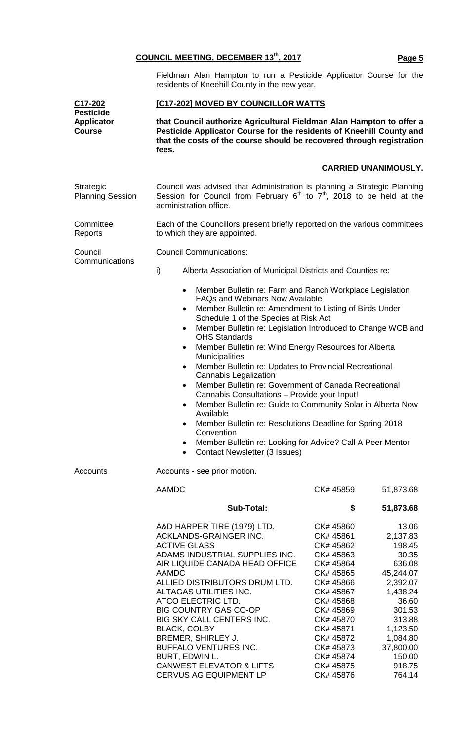Fieldman Alan Hampton to run a Pesticide Applicator Course for the residents of Kneehill County in the new year.

| C17-202<br><b>Pesticide</b>          | [C17-202] MOVED BY COUNCILLOR WATTS                                                                                                                                                                                                                                                                                                                                                                                                                                                                                                                                                                                                                                                                                                                                |                                                                                                                                                                                                                           |                                                                                                                                                                                     |  |
|--------------------------------------|--------------------------------------------------------------------------------------------------------------------------------------------------------------------------------------------------------------------------------------------------------------------------------------------------------------------------------------------------------------------------------------------------------------------------------------------------------------------------------------------------------------------------------------------------------------------------------------------------------------------------------------------------------------------------------------------------------------------------------------------------------------------|---------------------------------------------------------------------------------------------------------------------------------------------------------------------------------------------------------------------------|-------------------------------------------------------------------------------------------------------------------------------------------------------------------------------------|--|
| <b>Applicator</b><br><b>Course</b>   | that Council authorize Agricultural Fieldman Alan Hampton to offer a<br>Pesticide Applicator Course for the residents of Kneehill County and<br>that the costs of the course should be recovered through registration<br>fees.                                                                                                                                                                                                                                                                                                                                                                                                                                                                                                                                     |                                                                                                                                                                                                                           |                                                                                                                                                                                     |  |
|                                      |                                                                                                                                                                                                                                                                                                                                                                                                                                                                                                                                                                                                                                                                                                                                                                    | <b>CARRIED UNANIMOUSLY.</b>                                                                                                                                                                                               |                                                                                                                                                                                     |  |
| Strategic<br><b>Planning Session</b> | Council was advised that Administration is planning a Strategic Planning<br>Session for Council from February $6^{th}$ to $7^{th}$ , 2018 to be held at the<br>administration office.                                                                                                                                                                                                                                                                                                                                                                                                                                                                                                                                                                              |                                                                                                                                                                                                                           |                                                                                                                                                                                     |  |
| Committee<br>Reports                 | Each of the Councillors present briefly reported on the various committees<br>to which they are appointed.                                                                                                                                                                                                                                                                                                                                                                                                                                                                                                                                                                                                                                                         |                                                                                                                                                                                                                           |                                                                                                                                                                                     |  |
| Council                              | <b>Council Communications:</b>                                                                                                                                                                                                                                                                                                                                                                                                                                                                                                                                                                                                                                                                                                                                     |                                                                                                                                                                                                                           |                                                                                                                                                                                     |  |
| Communications                       | i)<br>Alberta Association of Municipal Districts and Counties re:                                                                                                                                                                                                                                                                                                                                                                                                                                                                                                                                                                                                                                                                                                  |                                                                                                                                                                                                                           |                                                                                                                                                                                     |  |
|                                      | Member Bulletin re: Farm and Ranch Workplace Legislation<br>$\bullet$<br><b>FAQs and Webinars Now Available</b><br>Member Bulletin re: Amendment to Listing of Birds Under                                                                                                                                                                                                                                                                                                                                                                                                                                                                                                                                                                                         |                                                                                                                                                                                                                           |                                                                                                                                                                                     |  |
|                                      | Schedule 1 of the Species at Risk Act<br>Member Bulletin re: Legislation Introduced to Change WCB and<br>$\bullet$<br><b>OHS Standards</b><br>Member Bulletin re: Wind Energy Resources for Alberta<br>$\bullet$<br><b>Municipalities</b><br>Member Bulletin re: Updates to Provincial Recreational<br>$\bullet$<br><b>Cannabis Legalization</b><br>Member Bulletin re: Government of Canada Recreational<br>$\bullet$<br>Cannabis Consultations - Provide your Input!<br>Member Bulletin re: Guide to Community Solar in Alberta Now<br>$\bullet$<br>Available<br>Member Bulletin re: Resolutions Deadline for Spring 2018<br>Convention<br>Member Bulletin re: Looking for Advice? Call A Peer Mentor<br>$\bullet$<br>Contact Newsletter (3 Issues)<br>$\bullet$ |                                                                                                                                                                                                                           |                                                                                                                                                                                     |  |
| <b>Accounts</b>                      | Accounts - see prior motion.                                                                                                                                                                                                                                                                                                                                                                                                                                                                                                                                                                                                                                                                                                                                       |                                                                                                                                                                                                                           |                                                                                                                                                                                     |  |
|                                      | <b>AAMDC</b>                                                                                                                                                                                                                                                                                                                                                                                                                                                                                                                                                                                                                                                                                                                                                       | CK# 45859                                                                                                                                                                                                                 | 51,873.68                                                                                                                                                                           |  |
|                                      | <b>Sub-Total:</b>                                                                                                                                                                                                                                                                                                                                                                                                                                                                                                                                                                                                                                                                                                                                                  | \$                                                                                                                                                                                                                        | 51,873.68                                                                                                                                                                           |  |
|                                      | A&D HARPER TIRE (1979) LTD.<br>ACKLANDS-GRAINGER INC.<br><b>ACTIVE GLASS</b><br>ADAMS INDUSTRIAL SUPPLIES INC.<br>AIR LIQUIDE CANADA HEAD OFFICE<br><b>AAMDC</b><br>ALLIED DISTRIBUTORS DRUM LTD.<br>ALTAGAS UTILITIES INC.<br>ATCO ELECTRIC LTD.<br><b>BIG COUNTRY GAS CO-OP</b><br>BIG SKY CALL CENTERS INC.<br><b>BLACK, COLBY</b><br>BREMER, SHIRLEY J.<br>BUFFALO VENTURES INC.<br>BURT, EDWIN L.<br><b>CANWEST ELEVATOR &amp; LIFTS</b><br><b>CERVUS AG EQUIPMENT LP</b>                                                                                                                                                                                                                                                                                     | CK# 45860<br>CK# 45861<br>CK# 45862<br>CK# 45863<br>CK# 45864<br>CK# 45865<br>CK# 45866<br>CK# 45867<br>CK# 45868<br>CK# 45869<br>CK# 45870<br>CK# 45871<br>CK# 45872<br>CK# 45873<br>CK# 45874<br>CK# 45875<br>CK# 45876 | 13.06<br>2,137.83<br>198.45<br>30.35<br>636.08<br>45,244.07<br>2,392.07<br>1,438.24<br>36.60<br>301.53<br>313.88<br>1,123.50<br>1,084.80<br>37,800.00<br>150.00<br>918.75<br>764.14 |  |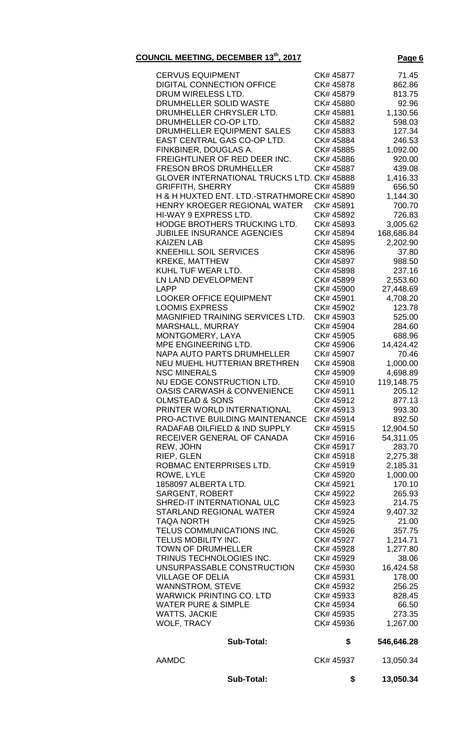| <b>CERVUS EQUIPMENT</b>                     | CK# 45877 | 71.45      |
|---------------------------------------------|-----------|------------|
| <b>DIGITAL CONNECTION OFFICE</b>            | CK# 45878 | 862.86     |
| DRUM WIRELESS LTD.                          | CK# 45879 | 813.75     |
| DRUMHELLER SOLID WASTE                      | CK# 45880 | 92.96      |
| DRUMHELLER CHRYSLER LTD.                    | CK# 45881 | 1,130.56   |
| DRUMHELLER CO-OP LTD.                       | CK# 45882 | 598.03     |
| DRUMHELLER EQUIPMENT SALES                  | CK# 45883 | 127.34     |
| EAST CENTRAL GAS CO-OP LTD.                 | CK# 45884 | 246.53     |
| FINKBINER, DOUGLAS A.                       | CK# 45885 | 1,092.00   |
| FREIGHTLINER OF RED DEER INC.               | CK# 45886 | 920.00     |
| <b>FRESON BROS DRUMHELLER</b>               | CK# 45887 | 439.08     |
| GLOVER INTERNATIONAL TRUCKS LTD. CK# 45888  |           | 1,416.33   |
| <b>GRIFFITH, SHERRY</b>                     | CK# 45889 | 656.50     |
| H & H HUXTED ENT. LTD.-STRATHMORE CK# 45890 |           | 1,144.30   |
| HENRY KROEGER REGIONAL WATER                | CK# 45891 | 700.70     |
| HI-WAY 9 EXPRESS LTD.                       | CK# 45892 | 726.83     |
| HODGE BROTHERS TRUCKING LTD.                | CK# 45893 | 3,005.62   |
| <b>JUBILEE INSURANCE AGENCIES</b>           | CK# 45894 | 168,686.84 |
| <b>KAIZEN LAB</b>                           | CK# 45895 | 2,202.90   |
| <b>KNEEHILL SOIL SERVICES</b>               | CK# 45896 | 37.80      |
| <b>KREKE, MATTHEW</b>                       | CK# 45897 | 988.50     |
| KUHL TUF WEAR LTD.                          | CK# 45898 | 237.16     |
| LN LAND DEVELOPMENT                         | CK# 45899 | 2,553.60   |
| LAPP                                        | CK# 45900 | 27,448.69  |
| <b>LOOKER OFFICE EQUIPMENT</b>              | CK# 45901 | 4,708.20   |
| <b>LOOMIS EXPRESS</b>                       | CK# 45902 | 123.78     |
| MAGNIFIED TRAINING SERVICES LTD.            | CK# 45903 | 525.00     |
| MARSHALL, MURRAY                            | CK# 45904 | 284.60     |
| MONTGOMERY, LAYA                            | CK# 45905 | 688.96     |
| MPE ENGINEERING LTD.                        | CK# 45906 | 14,424.42  |
| <b>NAPA AUTO PARTS DRUMHELLER</b>           | CK# 45907 | 70.46      |
| NEU MUEHL HUTTERIAN BRETHREN                | CK# 45908 | 1,000.00   |
| <b>NSC MINERALS</b>                         | CK# 45909 | 4,698.89   |
| NU EDGE CONSTRUCTION LTD.                   | CK# 45910 | 119,148.75 |
| <b>OASIS CARWASH &amp; CONVENIENCE</b>      | CK# 45911 | 205.12     |
| <b>OLMSTEAD &amp; SONS</b>                  | CK# 45912 | 877.13     |
| PRINTER WORLD INTERNATIONAL                 | CK# 45913 | 993.30     |
| PRO-ACTIVE BUILDING MAINTENANCE             | CK# 45914 | 892.50     |
| RADAFAB OILFIELD & IND SUPPLY               | CK# 45915 | 12,904.50  |
| RECEIVER GENERAL OF CANADA                  | CK# 45916 | 54,311.05  |
| REW, JOHN                                   | CK# 45917 | 283.70     |
| RIEP, GLEN                                  | CK# 45918 | 2,275.38   |
| ROBMAC ENTERPRISES LTD.                     | CK# 45919 | 2,185.31   |
| ROWE, LYLE                                  | CK# 45920 | 1,000.00   |
| 1858097 ALBERTA LTD.                        | CK# 45921 | 170.10     |
| <b>SARGENT, ROBERT</b>                      | CK# 45922 | 265.93     |
| SHRED-IT INTERNATIONAL ULC                  | CK# 45923 | 214.75     |
| <b>STARLAND REGIONAL WATER</b>              | CK# 45924 | 9,407.32   |
| <b>TAQA NORTH</b>                           | CK# 45925 | 21.00      |
| TELUS COMMUNICATIONS INC.                   | CK# 45926 | 357.75     |
| TELUS MOBILITY INC.                         | CK# 45927 | 1,214.71   |
| <b>TOWN OF DRUMHELLER</b>                   | CK# 45928 | 1,277.80   |
| TRINUS TECHNOLOGIES INC.                    | CK# 45929 | 38.06      |
| UNSURPASSABLE CONSTRUCTION                  | CK# 45930 | 16,424.58  |
| <b>VILLAGE OF DELIA</b>                     | CK# 45931 | 178.00     |
| <b>WANNSTROM, STEVE</b>                     | CK# 45932 | 256.25     |
| <b>WARWICK PRINTING CO. LTD</b>             | CK# 45933 | 828.45     |
| <b>WATER PURE &amp; SIMPLE</b>              | CK# 45934 | 66.50      |
| <b>WATTS, JACKIE</b>                        | CK# 45935 | 273.35     |
| <b>WOLF, TRACY</b>                          | CK# 45936 | 1,267.00   |
| <b>Sub-Total:</b>                           | \$        | 546,646.28 |
| <b>AAMDC</b>                                | CK# 45937 | 13,050.34  |
|                                             |           |            |
| <b>Sub-Total:</b>                           | \$        | 13,050.34  |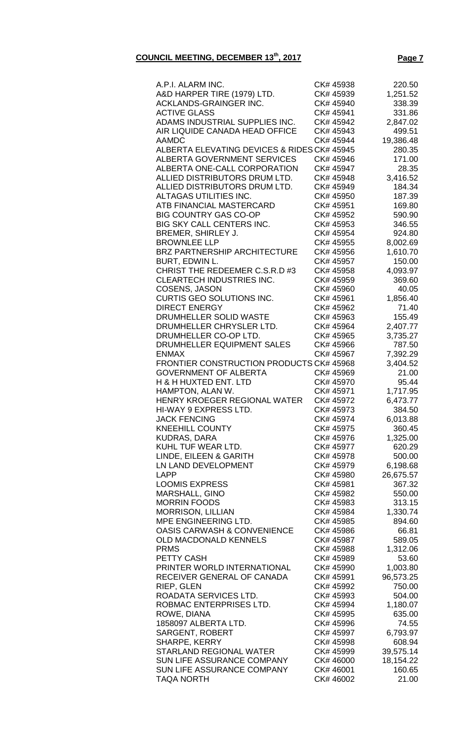| A.P.I. ALARM INC.                               | CK# 45938              | 220.50             |
|-------------------------------------------------|------------------------|--------------------|
| A&D HARPER TIRE (1979) LTD.                     | CK# 45939              | 1,251.52           |
| ACKLANDS-GRAINGER INC.                          | CK# 45940              | 338.39             |
| <b>ACTIVE GLASS</b>                             | CK# 45941              | 331.86             |
| ADAMS INDUSTRIAL SUPPLIES INC.                  | CK# 45942              | 2,847.02           |
| AIR LIQUIDE CANADA HEAD OFFICE                  | CK# 45943              | 499.51             |
| <b>AAMDC</b>                                    | CK# 45944              | 19,386.48          |
| ALBERTA ELEVATING DEVICES & RIDES CK# 45945     |                        | 280.35             |
| ALBERTA GOVERNMENT SERVICES                     | CK# 45946              | 171.00             |
| ALBERTA ONE-CALL CORPORATION                    | CK# 45947              | 28.35              |
| ALLIED DISTRIBUTORS DRUM LTD.                   | CK# 45948              | 3,416.52           |
| ALLIED DISTRIBUTORS DRUM LTD.                   | CK# 45949              | 184.34             |
| ALTAGAS UTILITIES INC.                          | CK# 45950              | 187.39             |
| ATB FINANCIAL MASTERCARD                        | CK# 45951              | 169.80             |
| <b>BIG COUNTRY GAS CO-OP</b>                    | CK# 45952              | 590.90             |
| BIG SKY CALL CENTERS INC.                       | CK# 45953              | 346.55             |
| BREMER, SHIRLEY J.                              | CK# 45954              | 924.80             |
| <b>BROWNLEE LLP</b>                             | CK# 45955              | 8,002.69           |
| BRZ PARTNERSHIP ARCHITECTURE                    | CK# 45956              | 1,610.70           |
| <b>BURT, EDWIN L.</b>                           | CK# 45957              | 150.00             |
| CHRIST THE REDEEMER C.S.R.D #3                  | CK# 45958              | 4,093.97           |
| <b>CLEARTECH INDUSTRIES INC.</b>                | CK# 45959              | 369.60             |
| COSENS, JASON                                   | CK# 45960              | 40.05              |
| <b>CURTIS GEO SOLUTIONS INC.</b>                | CK# 45961              | 1,856.40           |
| <b>DIRECT ENERGY</b>                            | CK# 45962              | 71.40              |
| DRUMHELLER SOLID WASTE                          | CK# 45963              | 155.49             |
| DRUMHELLER CHRYSLER LTD.                        | CK# 45964              | 2,407.77           |
| DRUMHELLER CO-OP LTD.                           | CK# 45965              | 3,735.27           |
| DRUMHELLER EQUIPMENT SALES<br><b>ENMAX</b>      | CK# 45966              | 787.50             |
| <b>FRONTIER CONSTRUCTION PRODUCTS CK# 45968</b> | CK# 45967              | 7,392.29           |
| <b>GOVERNMENT OF ALBERTA</b>                    | CK# 45969              | 3,404.52<br>21.00  |
| <b>H &amp; H HUXTED ENT. LTD</b>                | CK# 45970              | 95.44              |
| HAMPTON, ALAN W.                                | CK# 45971              | 1,717.95           |
| HENRY KROEGER REGIONAL WATER                    | CK# 45972              | 6,473.77           |
| HI-WAY 9 EXPRESS LTD.                           | CK# 45973              | 384.50             |
| <b>JACK FENCING</b>                             | CK# 45974              | 6,013.88           |
| <b>KNEEHILL COUNTY</b>                          | CK# 45975              | 360.45             |
| <b>KUDRAS, DARA</b>                             | CK# 45976              | 1,325.00           |
| KUHL TUF WEAR LTD.                              | CK# 45977              | 620.29             |
| LINDE, EILEEN & GARITH                          | CK# 45978              | 500.00             |
| LN LAND DEVELOPMENT                             | CK# 45979              | 6,198.68           |
| LAPP                                            | CK# 45980              | 26,675.57          |
| <b>LOOMIS EXPRESS</b>                           | CK# 45981              | 367.32             |
| <b>MARSHALL, GINO</b>                           | CK# 45982              | 550.00             |
| <b>MORRIN FOODS</b>                             | CK# 45983              | 313.15             |
| <b>MORRISON, LILLIAN</b>                        | CK# 45984              | 1,330.74           |
| MPE ENGINEERING LTD.                            | CK# 45985              | 894.60             |
| <b>OASIS CARWASH &amp; CONVENIENCE</b>          | CK# 45986              | 66.81              |
| <b>OLD MACDONALD KENNELS</b>                    | CK# 45987              | 589.05             |
| <b>PRMS</b>                                     | CK# 45988              | 1,312.06           |
| <b>PETTY CASH</b>                               | CK# 45989              | 53.60              |
| PRINTER WORLD INTERNATIONAL                     | CK# 45990              | 1,003.80           |
| RECEIVER GENERAL OF CANADA                      | CK# 45991              | 96,573.25          |
| <b>RIEP, GLEN</b>                               | CK# 45992              | 750.00             |
| ROADATA SERVICES LTD.                           | CK# 45993              | 504.00             |
| ROBMAC ENTERPRISES LTD.                         | CK# 45994              | 1,180.07           |
| ROWE, DIANA                                     | CK# 45995              | 635.00             |
| 1858097 ALBERTA LTD.                            | CK# 45996              | 74.55              |
| <b>SARGENT, ROBERT</b><br>SHARPE, KERRY         | CK# 45997<br>CK# 45998 | 6,793.97<br>608.94 |
| <b>STARLAND REGIONAL WATER</b>                  | CK# 45999              | 39,575.14          |
| SUN LIFE ASSURANCE COMPANY                      | CK# 46000              | 18,154.22          |
| <b>SUN LIFE ASSURANCE COMPANY</b>               | CK# 46001              | 160.65             |
| TAQA NORTH                                      | CK# 46002              | 21.00              |
|                                                 |                        |                    |